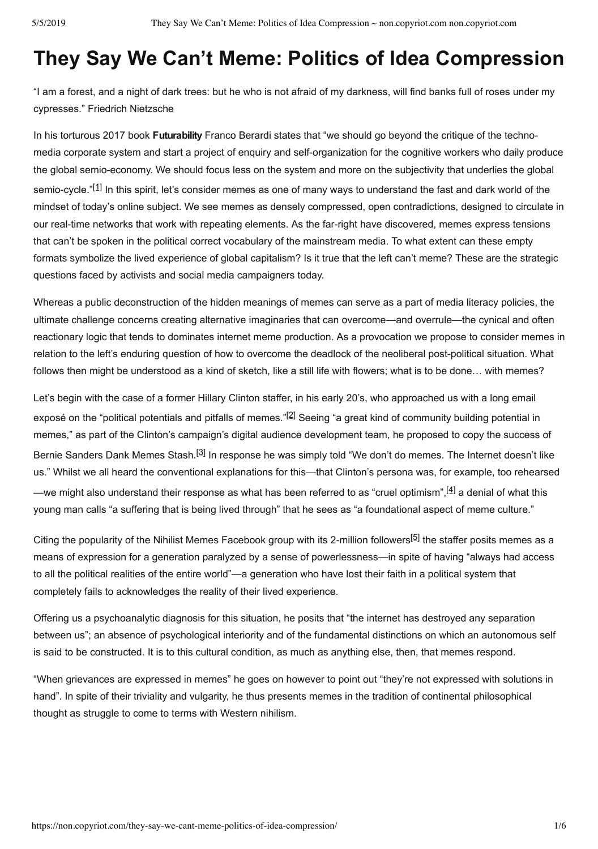# **They Say We Can't Meme: Politics of Idea Compression**

"I am a forest, and a night of dark trees: but he who is not afraid of my darkness, will find banks full of roses under my cypresses." Friedrich Nietzsche

In his torturous 2017 book **Futurability** Franco Berardi states that "we should go beyond the critique of the technomedia corporate system and start a project of enquiry and self-organization for the cognitive workers who daily produce the global semio-economy. We should focus less on the system and more on the subjectivity that underlies the global semio-cycle."<sup>[1]</sup> In this spirit, let's consider memes as one of many ways to understand the fast and dark world of the mindset of today's online subject. We see memes as densely compressed, open contradictions, designed to circulate in our real-time networks that work with repeating elements. As the far-right have discovered, memes express tensions that can't be spoken in the political correct vocabulary of the mainstream media. To what extent can these empty formats symbolize the lived experience of global capitalism? Is it true that the left can't meme? These are the strategic questions faced by activists and social media campaigners today.

Whereas a public deconstruction of the hidden meanings of memes can serve as a part of media literacy policies, the ultimate challenge concerns creating alternative imaginaries that can overcome—and overrule—the cynical and often reactionary logic that tends to dominates internet meme production. As a provocation we propose to consider memes in relation to the left's enduring question of how to overcome the deadlock of the neoliberal post-political situation. What follows then might be understood as a kind of sketch, like a still life with flowers; what is to be done… with memes?

Let's begin with the case of a former Hillary Clinton staffer, in his early 20's, who approached us with a long email exposé on the "political potentials and pitfalls of memes."<sup>[2]</sup> Seeing "a great kind of community building potential in memes," as part of the Clinton's campaign's digital audience development team, he proposed to copy the success of Bernie Sanders Dank Memes Stash.<sup>[3]</sup> In response he was simply told "We don't do memes. The Internet doesn't like us." Whilst we all heard the conventional explanations for this—that Clinton's persona was, for example, too rehearsed —we might also understand their response as what has been referred to as "cruel optimism",<sup>[4]</sup> a denial of what this young man calls "a suffering that is being lived through" that he sees as "a foundational aspect of meme culture."

Citing the popularity of the Nihilist Memes Facebook group with its 2-million followers<sup>[5]</sup> the staffer posits memes as a means of expression for a generation paralyzed by a sense of powerlessness—in spite of having "always had access to all the political realities of the entire world"—a generation who have lost their faith in a political system that completely fails to acknowledges the reality of their lived experience.

Offering us a psychoanalytic diagnosis for this situation, he posits that "the internet has destroyed any separation between us"; an absence of psychological interiority and of the fundamental distinctions on which an autonomous self is said to be constructed. It is to this cultural condition, as much as anything else, then, that memes respond.

"When grievances are expressed in memes" he goes on however to point out "they're not expressed with solutions in hand". In spite of their triviality and vulgarity, he thus presents memes in the tradition of continental philosophical thought as struggle to come to terms with Western nihilism.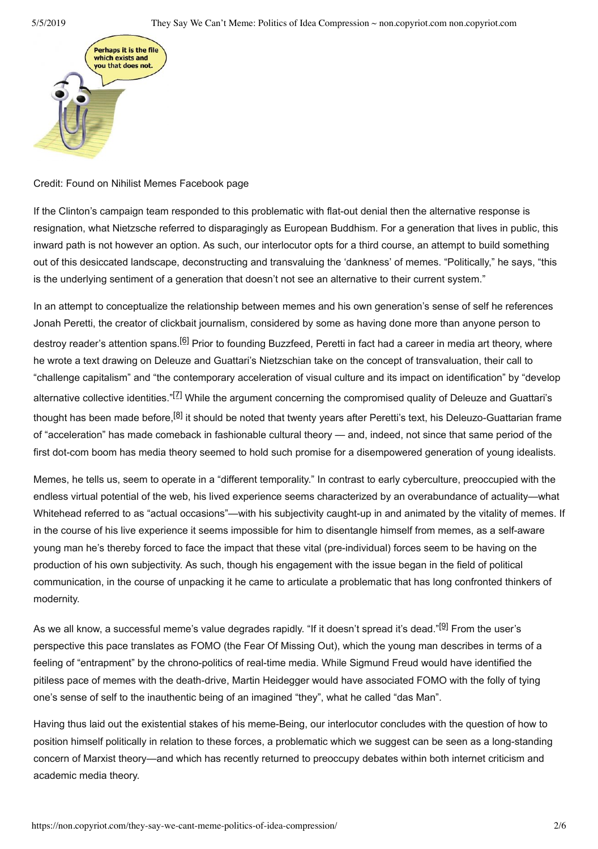

# Credit: Found on Nihilist Memes Facebook page

If the Clinton's campaign team responded to this problematic with flat-out denial then the alternative response is resignation, what Nietzsche referred to disparagingly as European Buddhism. For a generation that lives in public, this inward path is not however an option. As such, our interlocutor opts for a third course, an attempt to build something out of this desiccated landscape, deconstructing and transvaluing the 'dankness' of memes. "Politically," he says, "this is the underlying sentiment of a generation that doesn't not see an alternative to their current system."

In an attempt to conceptualize the relationship between memes and his own generation's sense of self he references Jonah Peretti, the creator of clickbait journalism, considered by some as having done more than anyone person to destroy reader's attention spans.<sup>[6]</sup> Prior to founding Buzzfeed, Peretti in fact had a career in media art theory, where he wrote a text drawing on Deleuze and Guattari's Nietzschian take on the concept of transvaluation, their call to "challenge capitalism" and "the contemporary acceleration of visual culture and its impact on identification" by "develop alternative collective identities."<sup>[Z]</sup> While the argument concerning the compromised quality of Deleuze and Guattari's thought has been made before,<sup>[8]</sup> it should be noted that twenty years after Peretti's text, his Deleuzo-Guattarian frame of "acceleration" has made comeback in fashionable cultural theory — and, indeed, not since that same period of the first dot-com boom has media theory seemed to hold such promise for a disempowered generation of young idealists.

Memes, he tells us, seem to operate in a "different temporality." In contrast to early cyberculture, preoccupied with the endless virtual potential of the web, his lived experience seems characterized by an overabundance of actuality—what Whitehead referred to as "actual occasions"—with his subjectivity caught-up in and animated by the vitality of memes. If in the course of his live experience it seems impossible for him to disentangle himself from memes, as a self-aware young man he's thereby forced to face the impact that these vital (pre-individual) forces seem to be having on the production of his own subjectivity. As such, though his engagement with the issue began in the field of political communication, in the course of unpacking it he came to articulate a problematic that has long confronted thinkers of modernity.

As we all know, a successful meme's value degrades rapidly. "If it doesn't spread it's dead."<sup>[9]</sup> From the user's perspective this pace translates as FOMO (the Fear Of Missing Out), which the young man describes in terms of a feeling of "entrapment" by the chrono-politics of real-time media. While Sigmund Freud would have identified the pitiless pace of memes with the death-drive, Martin Heidegger would have associated FOMO with the folly of tying one's sense of self to the inauthentic being of an imagined "they", what he called "das Man".

Having thus laid out the existential stakes of his meme-Being, our interlocutor concludes with the question of how to position himself politically in relation to these forces, a problematic which we suggest can be seen as a long-standing concern of Marxist theory—and which has recently returned to preoccupy debates within both internet criticism and academic media theory.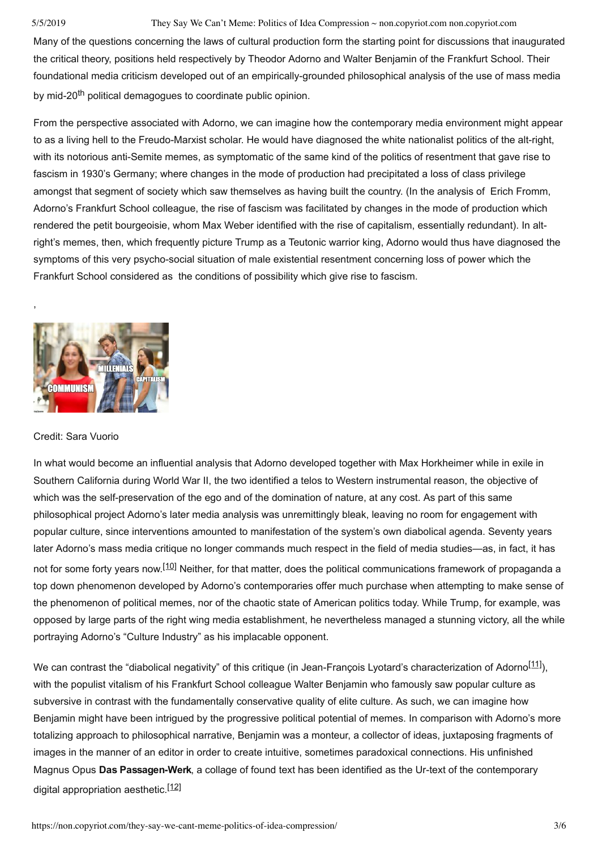### 5/5/2019 They Say We Can't Meme: Politics of Idea Compression ~ non.copyriot.com non.copyriot.com

Many of the questions concerning the laws of cultural production form the starting point for discussions that inaugurated the critical theory, positions held respectively by Theodor Adorno and Walter Benjamin of the Frankfurt School. Their foundational media criticism developed out of an empirically-grounded philosophical analysis of the use of mass media by mid-20<sup>th</sup> political demagogues to coordinate public opinion.

From the perspective associated with Adorno, we can imagine how the contemporary media environment might appear to as a living hell to the Freudo-Marxist scholar. He would have diagnosed the white nationalist politics of the alt-right, with its notorious anti-Semite memes, as symptomatic of the same kind of the politics of resentment that gave rise to fascism in 1930's Germany; where changes in the mode of production had precipitated a loss of class privilege amongst that segment of society which saw themselves as having built the country. (In the analysis of Erich Fromm, Adorno's Frankfurt School colleague, the rise of fascism was facilitated by changes in the mode of production which rendered the petit bourgeoisie, whom Max Weber identified with the rise of capitalism, essentially redundant). In altright's memes, then, which frequently picture Trump as a Teutonic warrior king, Adorno would thus have diagnosed the symptoms of this very psycho-social situation of male existential resentment concerning loss of power which the Frankfurt School considered as the conditions of possibility which give rise to fascism.



## Credit: Sara Vuorio

,

In what would become an influential analysis that Adorno developed together with Max Horkheimer while in exile in Southern California during World War II, the two identified a telos to Western instrumental reason, the objective of which was the self-preservation of the ego and of the domination of nature, at any cost. As part of this same philosophical project Adorno's later media analysis was unremittingly bleak, leaving no room for engagement with popular culture, since interventions amounted to manifestation of the system's own diabolical agenda. Seventy years later Adorno's mass media critique no longer commands much respect in the field of media studies—as, in fact, it has not for some forty years now.<sup>[10]</sup> Neither, for that matter, does the political communications framework of propaganda a top down phenomenon developed by Adorno's contemporaries offer much purchase when attempting to make sense of the phenomenon of political memes, nor of the chaotic state of American politics today. While Trump, for example, was opposed by large parts of the right wing media establishment, he nevertheless managed a stunning victory, all the while portraying Adorno's "Culture Industry" as his implacable opponent.

We can contrast the "diabolical negativity" of this critique (in Jean-François Lyotard's characterization of Adorno<sup>[11]</sup>), with the populist vitalism of his Frankfurt School colleague Walter Benjamin who famously saw popular culture as subversive in contrast with the fundamentally conservative quality of elite culture. As such, we can imagine how Benjamin might have been intrigued by the progressive political potential of memes. In comparison with Adorno's more totalizing approach to philosophical narrative, Benjamin was a monteur, a collector of ideas, juxtaposing fragments of images in the manner of an editor in order to create intuitive, sometimes paradoxical connections. His unfinished Magnus Opus **Das Passagen-Werk**, a collage of found text has been identified as the Ur-text of the contemporary digital appropriation aesthetic.<sup>[12]</sup>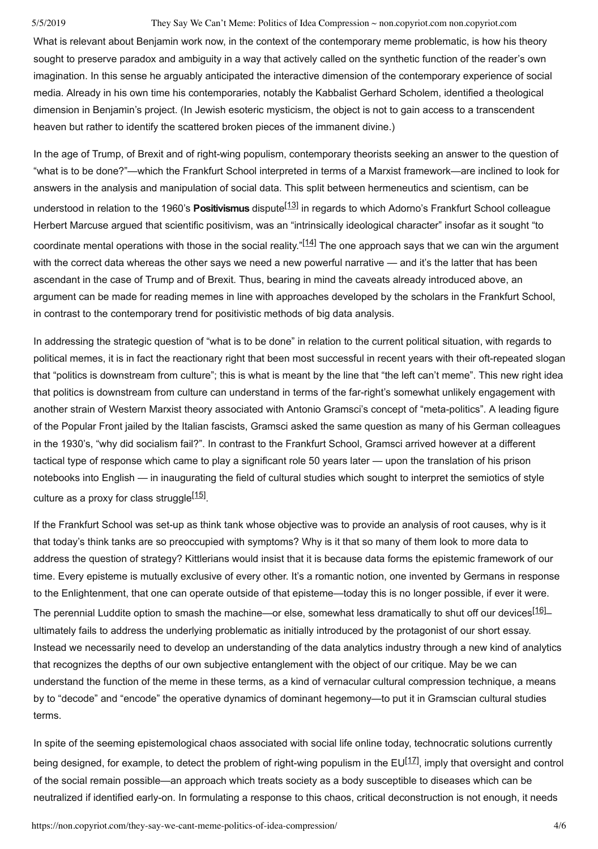### 5/5/2019 They Say We Can't Meme: Politics of Idea Compression ~ non.copyriot.com non.copyriot.com

What is relevant about Benjamin work now, in the context of the contemporary meme problematic, is how his theory sought to preserve paradox and ambiguity in a way that actively called on the synthetic function of the reader's own imagination. In this sense he arguably anticipated the interactive dimension of the contemporary experience of social media. Already in his own time his contemporaries, notably the Kabbalist Gerhard Scholem, identified a theological dimension in Benjamin's project. (In Jewish esoteric mysticism, the object is not to gain access to a transcendent heaven but rather to identify the scattered broken pieces of the immanent divine.)

In the age of Trump, of Brexit and of right-wing populism, contemporary theorists seeking an answer to the question of "what is to be done?"—which the Frankfurt School interpreted in terms of a Marxist framework—are inclined to look for answers in the analysis and manipulation of social data. This split between hermeneutics and scientism, can be understood in relation to the 1960's **Positivismus** dispute[13] in regards to which Adorno's Frankfurt School colleague Herbert Marcuse argued that scientific positivism, was an "intrinsically ideological character" insofar as it sought "to coordinate mental operations with those in the social reality."<sup>[14]</sup> The one approach says that we can win the argument with the correct data whereas the other says we need a new powerful narrative — and it's the latter that has been ascendant in the case of Trump and of Brexit. Thus, bearing in mind the caveats already introduced above, an argument can be made for reading memes in line with approaches developed by the scholars in the Frankfurt School, in contrast to the contemporary trend for positivistic methods of big data analysis.

In addressing the strategic question of "what is to be done" in relation to the current political situation, with regards to political memes, it is in fact the reactionary right that been most successful in recent years with their oft-repeated slogan that "politics is downstream from culture"; this is what is meant by the line that "the left can't meme". This new right idea that politics is downstream from culture can understand in terms of the farright's somewhat unlikely engagement with another strain of Western Marxist theory associated with Antonio Gramsci's concept of "meta-politics". A leading figure of the Popular Front jailed by the Italian fascists, Gramsci asked the same question as many of his German colleagues in the 1930's, "why did socialism fail?". In contrast to the Frankfurt School, Gramsci arrived however at a different tactical type of response which came to play a significant role 50 years later — upon the translation of his prison notebooks into English — in inaugurating the field of cultural studies which sought to interpret the semiotics of style culture as a proxy for class struggle<sup>[15]</sup>.

If the Frankfurt School was set-up as think tank whose objective was to provide an analysis of root causes, why is it that today's think tanks are so preoccupied with symptoms? Why is it that so many of them look to more data to address the question of strategy? Kittlerians would insist that it is because data forms the epistemic framework of our time. Every episteme is mutually exclusive of every other. It's a romantic notion, one invented by Germans in response to the Enlightenment, that one can operate outside of that episteme—today this is no longer possible, if ever it were. The perennial Luddite option to smash the machine—or else, somewhat less dramatically to shut off our devices<sup>[16]</sup> ultimately fails to address the underlying problematic as initially introduced by the protagonist of our short essay. Instead we necessarily need to develop an understanding of the data analytics industry through a new kind of analytics that recognizes the depths of our own subjective entanglement with the object of our critique. May be we can understand the function of the meme in these terms, as a kind of vernacular cultural compression technique, a means by to "decode" and "encode" the operative dynamics of dominant hegemony—to put it in Gramscian cultural studies terms.

In spite of the seeming epistemological chaos associated with social life online today, technocratic solutions currently being designed, for example, to detect the problem of right-wing populism in the EU<sup>[17]</sup>, imply that oversight and control of the social remain possible—an approach which treats society as a body susceptible to diseases which can be neutralized if identified early-on. In formulating a response to this chaos, critical deconstruction is not enough, it needs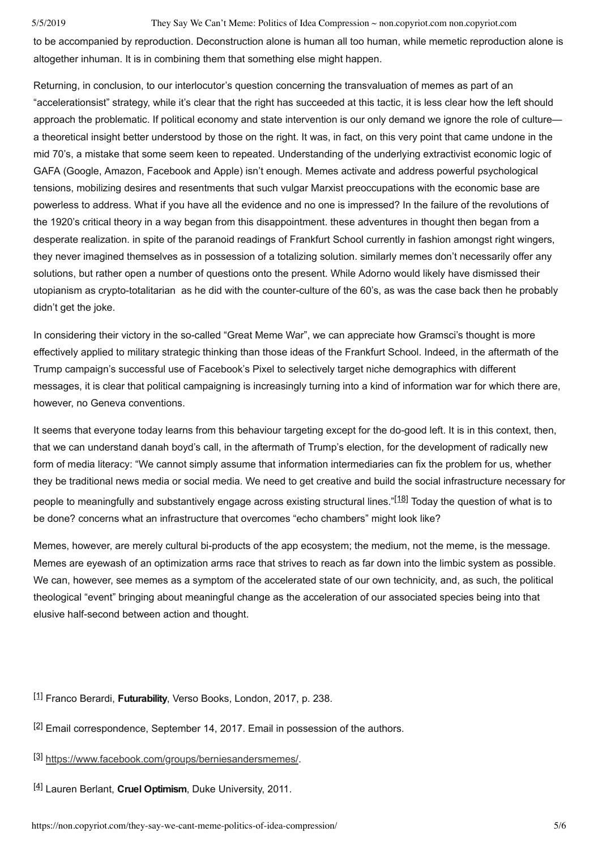#### 5/5/2019 They Say We Can't Meme: Politics of Idea Compression ~ non.copyriot.com non.copyriot.com

to be accompanied by reproduction. Deconstruction alone is human all too human, while memetic reproduction alone is altogether inhuman. It is in combining them that something else might happen.

Returning, in conclusion, to our interlocutor's question concerning the transvaluation of memes as part of an "accelerationsist" strategy, while it's clear that the right has succeeded at this tactic, it is less clear how the left should approach the problematic. If political economy and state intervention is our only demand we ignore the role of culture a theoretical insight better understood by those on the right. It was, in fact, on this very point that came undone in the mid 70's, a mistake that some seem keen to repeated. Understanding of the underlying extractivist economic logic of GAFA (Google, Amazon, Facebook and Apple) isn't enough. Memes activate and address powerful psychological tensions, mobilizing desires and resentments that such vulgar Marxist preoccupations with the economic base are powerless to address. What if you have all the evidence and no one is impressed? In the failure of the revolutions of the 1920's critical theory in a way began from this disappointment. these adventures in thought then began from a desperate realization. in spite of the paranoid readings of Frankfurt School currently in fashion amongst right wingers, they never imagined themselves as in possession of a totalizing solution. similarly memes don't necessarily offer any solutions, but rather open a number of questions onto the present. While Adorno would likely have dismissed their utopianism as crypto-totalitarian as he did with the counter-culture of the 60's, as was the case back then he probably didn't get the joke.

In considering their victory in the so-called "Great Meme War", we can appreciate how Gramsci's thought is more effectively applied to military strategic thinking than those ideas of the Frankfurt School. Indeed, in the aftermath of the Trump campaign's successful use of Facebook's Pixel to selectively target niche demographics with different messages, it is clear that political campaigning is increasingly turning into a kind of information war for which there are, however, no Geneva conventions.

It seems that everyone today learns from this behaviour targeting except for the do-good left. It is in this context, then, that we can understand danah boyd's call, in the aftermath of Trump's election, for the development of radically new form of media literacy: "We cannot simply assume that information intermediaries can fix the problem for us, whether they be traditional news media or social media. We need to get creative and build the social infrastructure necessary for people to meaningfully and substantively engage across existing structural lines."<sup>[18]</sup> Today the question of what is to be done? concerns what an infrastructure that overcomes "echo chambers" might look like?

Memes, however, are merely cultural bi-products of the app ecosystem; the medium, not the meme, is the message. Memes are eyewash of an optimization arms race that strives to reach as far down into the limbic system as possible. We can, however, see memes as a symptom of the accelerated state of our own technicity, and, as such, the political theological "event" bringing about meaningful change as the acceleration of our associated species being into that elusive half-second between action and thought.

[1] Franco Berardi, **Futurability**, Verso Books, London, 2017, p. 238.

 $[2]$  Email correspondence, September 14, 2017. Email in possession of the authors.

- [3] https://www.facebook.com/groups/berniesandersmemes/.
- [4] Lauren Berlant, **Cruel Optimism**, Duke University, 2011.